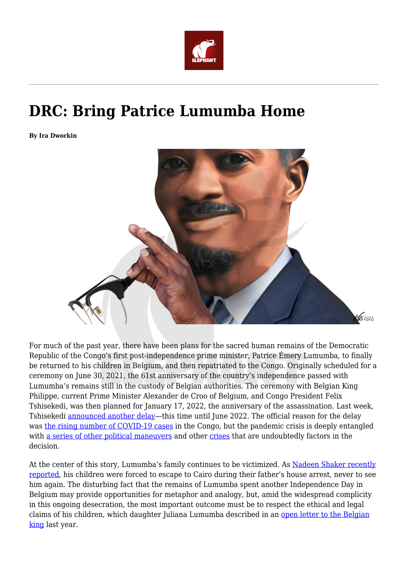

## **DRC: Bring Patrice Lumumba Home**

**By Ira Dworkin**



For much of the past year, there have been plans for the sacred human remains of the Democratic Republic of the Congo's first post-independence prime minister, Patrice Émery Lumumba, to finally be returned to his children in Belgium, and then repatriated to the Congo. Originally scheduled for a ceremony on June 30, 2021, the 61st anniversary of the country's independence passed with Lumumba's remains still in the custody of Belgian authorities. The ceremony with Belgian King Philippe, current Prime Minister Alexander de Croo of Belgium, and Congo President Felix Tshisekedi, was then planned for January 17, 2022, the anniversary of the assassination. Last week, Tshisekedi [announced another delay—](https://www.theafricareport.com/164332/drc-restitution-ceremony-for-lumumbas-remains-postponed-to-june/)this time until June 2022. The official reason for the delay was [the rising number of COVID-19 cases](https://www.lephareonline.net/la-visite-du-roi-des-belges-au-congo-la-covid-sinterpose/) in the Congo, but the pandemic crisis is deeply entangled with [a series of other political maneuvers](https://www.theafricareport.com/82799/drc-vital-kamerhe-has-not-let-a-jail-sentence-slow-his-ambitions/) and other [crises](http://www.lepotentiel.cd/g?post=2229) that are undoubtedly factors in the decision.

At the center of this story, Lumumba's family continues to be victimized. As [Nadeen Shaker recently](https://kerningcultures.com/escape-to-cairo/) [reported](https://kerningcultures.com/escape-to-cairo/), his children were forced to escape to Cairo during their father's house arrest, never to see him again. The disturbing fact that the remains of Lumumba spent another Independence Day in Belgium may provide opportunities for metaphor and analogy, but, amid the widespread complicity in this ongoing desecration, the most important outcome must be to respect the ethical and legal claims of his children, which daughter Juliana Lumumba described in an [open letter to the Belgian](https://jacobinmag.com/2020/08/patrice-lumumba-daughter-belgium-congo-teeth) [king](https://jacobinmag.com/2020/08/patrice-lumumba-daughter-belgium-congo-teeth) last year.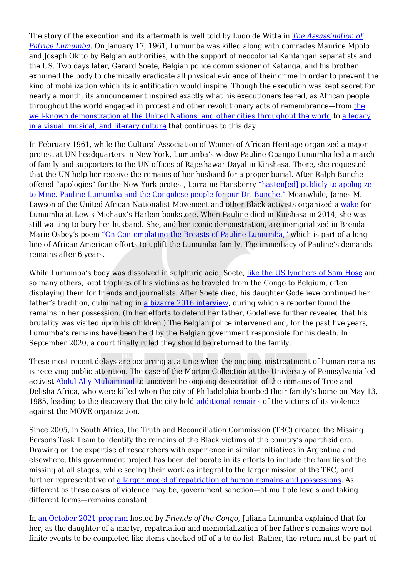The story of the execution and its aftermath is well told by Ludo de Witte in *[The Assassination of](https://www.versobooks.com/books/792-the-assassination-of-lumumba) [Patrice Lumumba](https://www.versobooks.com/books/792-the-assassination-of-lumumba)*. On January 17, 1961, Lumumba was killed along with comrades Maurice Mpolo and Joseph Okito by Belgian authorities, with the support of neocolonial Kantangan separatists and the US. Two days later, Gerard Soete, Belgian police commissioner of Katanga, and his brother exhumed the body to chemically eradicate all physical evidence of their crime in order to prevent the kind of mobilization which its identification would inspire. Though the execution was kept secret for nearly a month, its announcement inspired exactly what his executioners feared, as African people throughout the world engaged in protest and other revolutionary acts of remembrance—from [the](https://youtu.be/sRYuf-f3lr4) [well-known demonstration at the United Nations, and other cities throughout the world](https://youtu.be/sRYuf-f3lr4) to [a legacy](https://lup.be/products/106908) [in a visual, musical, and literary culture](https://lup.be/products/106908) that continues to this day.

In February 1961, while the Cultural Association of Women of African Heritage organized a major protest at UN headquarters in New York, Lumumba's widow Pauline Opango Lumumba led a march of family and supporters to the UN offices of Rajeshawar Dayal in Kinshasa. There, she requested that the UN help her receive the remains of her husband for a proper burial. After Ralph Bunche offered "apologies" for the New York protest, Lorraine Hansberry ["hasten\[ed\] publicly to apologize](https://www.nytimes.com/1961/03/26/archives/congolese-patriot.html) [to Mme. Pauline Lumumba and the Congolese people for our Dr. Bunche."](https://www.nytimes.com/1961/03/26/archives/congolese-patriot.html) Meanwhile, James M. Lawson of the United African Nationalist Movement and other Black activists organized a [wake](https://www.britishpathe.com/video/VLVABEO586Z4K11EYQEY8X62APSZZ-USA-NEW-YORK-A-FUNERAL-FOR-LUMUMBA) for Lumumba at Lewis Michaux's Harlem bookstore. When Pauline died in Kinshasa in 2014, she was still waiting to bury her husband. She, and her iconic demonstration, are memorialized in Brenda Marie Osbey's poem ["On Contemplating the Breasts of Pauline Lumumba,"](https://poets.org/poem/contemplating-breasts-pauline-lumumba) which is part of a long line of African American efforts to uplift the Lumumba family. The immediacy of Pauline's demands remains after 6 years.

While Lumumba's body was dissolved in sulphuric acid, Soete, [like the US lynchers of Sam Hose](https://www.loc.gov/exhibits/civil-rights-act/multimedia/w-e-b-du-bois.html) and so many others, kept trophies of his victims as he traveled from the Congo to Belgium, often displaying them for friends and journalists. After Soete died, his daughter Godelieve continued her father's tradition, culminating in [a bizarre 2016 interview](https://www.vpro.nl/programmas/speeches/lumumba-humo.html), during which a reporter found the remains in her possession. (In her efforts to defend her father, Godelieve further revealed that his brutality was visited upon his children.) The Belgian police intervened and, for the past five years, Lumumba's remains have been held by the Belgian government responsible for his death. In September 2020, a court finally ruled they should be returned to the family.

These most recent delays are occurring at a time when the ongoing mistreatment of human remains is receiving public attention. The case of the Morton Collection at the University of Pennsylvania led activist [Abdul-Aliy Muhammad](https://www.inquirer.com/opinion/commentary/penn-museum-reparations-repatriation-move-bombing-20210421.html) to uncover the ongoing desecration of the remains of Tree and Delisha Africa, who were killed when the city of Philadelphia bombed their family's home on May 13, 1985, leading to the discovery that the city held [additional remains](https://whyy.org/articles/how-the-philly-medical-examiners-office-mishandled-move-victims-remains-for-36-years/) of the victims of its violence against the MOVE organization.

Since 2005, in South Africa, the Truth and Reconciliation Commission (TRC) created the Missing Persons Task Team to identify the remains of the Black victims of the country's apartheid era. Drawing on the expertise of researchers with experience in similar initiatives in Argentina and elsewhere, this government project has been deliberate in its efforts to include the families of the missing at all stages, while seeing their work as integral to the larger mission of the TRC, and further representative of [a larger model of repatriation of human remains and possessions.](https://tif.ssrc.org/2021/08/26/the-commemorative-state-human-remains-the-question-of-missingness/) As different as these cases of violence may be, government sanction—at multiple levels and taking different forms—remains constant.

In [an October 2021 program](https://www.facebook.com/watch/live/?ref=watch_permalink&v=395423742130211) hosted by *Friends of the Congo*, Juliana Lumumba explained that for her, as the daughter of a martyr, repatriation and memorialization of her father's remains were not finite events to be completed like items checked off of a to-do list. Rather, the return must be part of